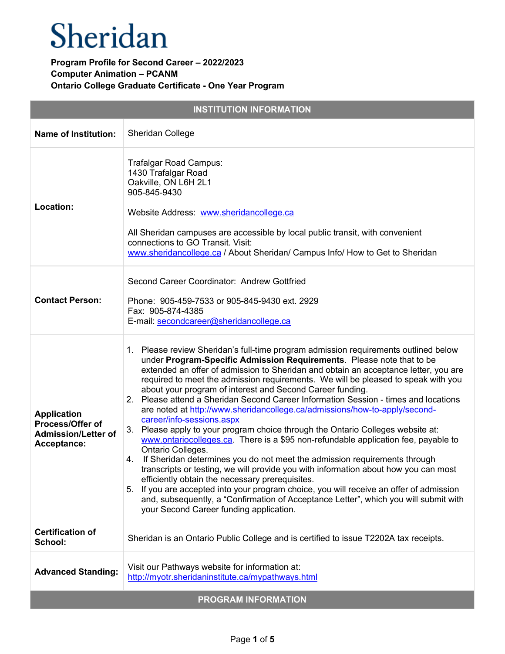| <b>INSTITUTION INFORMATION</b>                                                      |                                                                                                                                                                                                                                                                                                                                                                                                                                                                                                                                                                                                                                                                                                                                                                                                                                                                                                                                                                                                                                                                                                                                                                                                                                                               |  |
|-------------------------------------------------------------------------------------|---------------------------------------------------------------------------------------------------------------------------------------------------------------------------------------------------------------------------------------------------------------------------------------------------------------------------------------------------------------------------------------------------------------------------------------------------------------------------------------------------------------------------------------------------------------------------------------------------------------------------------------------------------------------------------------------------------------------------------------------------------------------------------------------------------------------------------------------------------------------------------------------------------------------------------------------------------------------------------------------------------------------------------------------------------------------------------------------------------------------------------------------------------------------------------------------------------------------------------------------------------------|--|
| <b>Name of Institution:</b>                                                         | Sheridan College                                                                                                                                                                                                                                                                                                                                                                                                                                                                                                                                                                                                                                                                                                                                                                                                                                                                                                                                                                                                                                                                                                                                                                                                                                              |  |
| Location:                                                                           | Trafalgar Road Campus:<br>1430 Trafalgar Road<br>Oakville, ON L6H 2L1<br>905-845-9430<br>Website Address: www.sheridancollege.ca<br>All Sheridan campuses are accessible by local public transit, with convenient<br>connections to GO Transit. Visit:<br>www.sheridancollege.ca / About Sheridan/ Campus Info/ How to Get to Sheridan                                                                                                                                                                                                                                                                                                                                                                                                                                                                                                                                                                                                                                                                                                                                                                                                                                                                                                                        |  |
| <b>Contact Person:</b>                                                              | Second Career Coordinator: Andrew Gottfried<br>Phone: 905-459-7533 or 905-845-9430 ext. 2929<br>Fax: 905-874-4385<br>E-mail: secondcareer@sheridancollege.ca                                                                                                                                                                                                                                                                                                                                                                                                                                                                                                                                                                                                                                                                                                                                                                                                                                                                                                                                                                                                                                                                                                  |  |
| <b>Application</b><br>Process/Offer of<br><b>Admission/Letter of</b><br>Acceptance: | 1. Please review Sheridan's full-time program admission requirements outlined below<br>under Program-Specific Admission Requirements. Please note that to be<br>extended an offer of admission to Sheridan and obtain an acceptance letter, you are<br>required to meet the admission requirements. We will be pleased to speak with you<br>about your program of interest and Second Career funding.<br>2. Please attend a Sheridan Second Career Information Session - times and locations<br>are noted at http://www.sheridancollege.ca/admissions/how-to-apply/second-<br>career/info-sessions.aspx<br>3. Please apply to your program choice through the Ontario Colleges website at:<br>www.ontariocolleges.ca. There is a \$95 non-refundable application fee, payable to<br>Ontario Colleges.<br>4. If Sheridan determines you do not meet the admission requirements through<br>transcripts or testing, we will provide you with information about how you can most<br>efficiently obtain the necessary prerequisites.<br>5. If you are accepted into your program choice, you will receive an offer of admission<br>and, subsequently, a "Confirmation of Acceptance Letter", which you will submit with<br>your Second Career funding application. |  |
| <b>Certification of</b><br>School:                                                  | Sheridan is an Ontario Public College and is certified to issue T2202A tax receipts.                                                                                                                                                                                                                                                                                                                                                                                                                                                                                                                                                                                                                                                                                                                                                                                                                                                                                                                                                                                                                                                                                                                                                                          |  |
| <b>Advanced Standing:</b>                                                           | Visit our Pathways website for information at:<br>http://myotr.sheridaninstitute.ca/mypathways.html                                                                                                                                                                                                                                                                                                                                                                                                                                                                                                                                                                                                                                                                                                                                                                                                                                                                                                                                                                                                                                                                                                                                                           |  |
| <b>PROGRAM INFORMATION</b>                                                          |                                                                                                                                                                                                                                                                                                                                                                                                                                                                                                                                                                                                                                                                                                                                                                                                                                                                                                                                                                                                                                                                                                                                                                                                                                                               |  |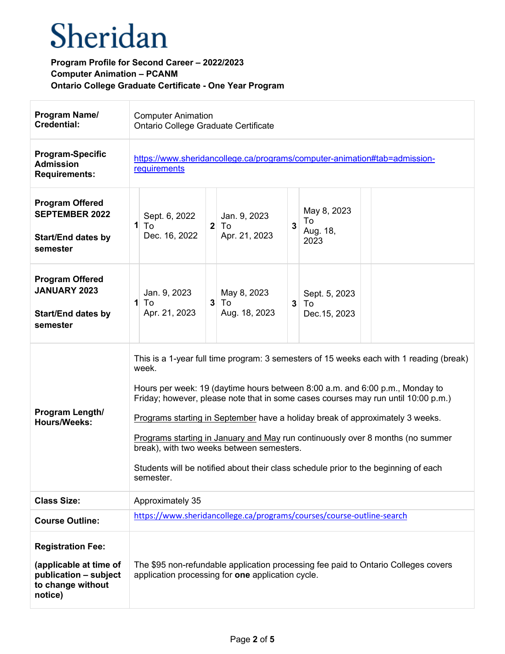| Program Name/<br><b>Credential:</b>                                                                         | <b>Computer Animation</b><br>Ontario College Graduate Certificate                                                                                                                                                                                                                                                                                                                                                                                                                                                                                                                         |
|-------------------------------------------------------------------------------------------------------------|-------------------------------------------------------------------------------------------------------------------------------------------------------------------------------------------------------------------------------------------------------------------------------------------------------------------------------------------------------------------------------------------------------------------------------------------------------------------------------------------------------------------------------------------------------------------------------------------|
| <b>Program-Specific</b><br><b>Admission</b><br><b>Requirements:</b>                                         | https://www.sheridancollege.ca/programs/computer-animation#tab=admission-<br>requirements                                                                                                                                                                                                                                                                                                                                                                                                                                                                                                 |
| <b>Program Offered</b><br><b>SEPTEMBER 2022</b><br><b>Start/End dates by</b><br>semester                    | May 8, 2023<br>Sept. 6, 2022<br>Jan. 9, 2023<br>To<br>3<br>$1$ To<br>$2$ To<br>Aug. 18,<br>Dec. 16, 2022<br>Apr. 21, 2023<br>2023                                                                                                                                                                                                                                                                                                                                                                                                                                                         |
| <b>Program Offered</b><br><b>JANUARY 2023</b><br><b>Start/End dates by</b><br>semester                      | Jan. 9, 2023<br>May 8, 2023<br>Sept. 5, 2023<br>$3$ To<br>To<br>1<br>3 <sup>1</sup><br>  To<br>Apr. 21, 2023<br>Aug. 18, 2023<br>Dec. 15, 2023                                                                                                                                                                                                                                                                                                                                                                                                                                            |
| Program Length/<br><b>Hours/Weeks:</b>                                                                      | This is a 1-year full time program: 3 semesters of 15 weeks each with 1 reading (break)<br>week.<br>Hours per week: 19 (daytime hours between 8:00 a.m. and 6:00 p.m., Monday to<br>Friday; however, please note that in some cases courses may run until 10:00 p.m.)<br>Programs starting in September have a holiday break of approximately 3 weeks.<br>Programs starting in January and May run continuously over 8 months (no summer<br>break), with two weeks between semesters.<br>Students will be notified about their class schedule prior to the beginning of each<br>semester. |
| <b>Class Size:</b>                                                                                          | Approximately 35                                                                                                                                                                                                                                                                                                                                                                                                                                                                                                                                                                          |
| <b>Course Outline:</b>                                                                                      | https://www.sheridancollege.ca/programs/courses/course-outline-search                                                                                                                                                                                                                                                                                                                                                                                                                                                                                                                     |
| <b>Registration Fee:</b><br>(applicable at time of<br>publication - subject<br>to change without<br>notice) | The \$95 non-refundable application processing fee paid to Ontario Colleges covers<br>application processing for one application cycle.                                                                                                                                                                                                                                                                                                                                                                                                                                                   |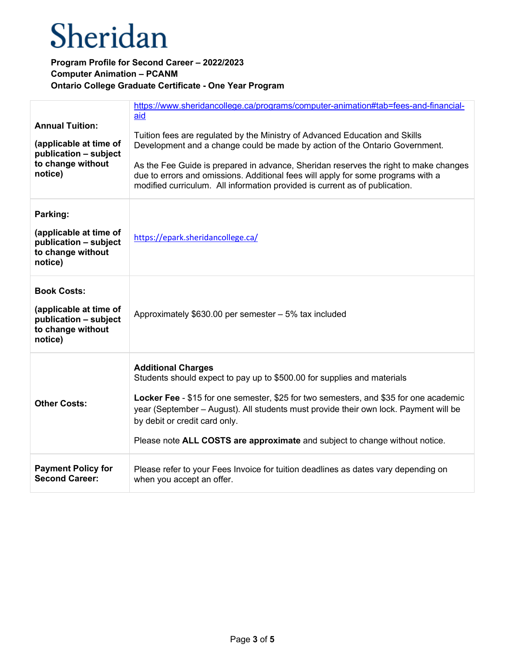| <b>Annual Tuition:</b><br>(applicable at time of<br>publication - subject<br>to change without<br>notice) | https://www.sheridancollege.ca/programs/computer-animation#tab=fees-and-financial-<br>aid<br>Tuition fees are regulated by the Ministry of Advanced Education and Skills<br>Development and a change could be made by action of the Ontario Government.<br>As the Fee Guide is prepared in advance, Sheridan reserves the right to make changes<br>due to errors and omissions. Additional fees will apply for some programs with a<br>modified curriculum. All information provided is current as of publication. |
|-----------------------------------------------------------------------------------------------------------|--------------------------------------------------------------------------------------------------------------------------------------------------------------------------------------------------------------------------------------------------------------------------------------------------------------------------------------------------------------------------------------------------------------------------------------------------------------------------------------------------------------------|
| Parking:<br>(applicable at time of<br>publication - subject<br>to change without<br>notice)               | https://epark.sheridancollege.ca/                                                                                                                                                                                                                                                                                                                                                                                                                                                                                  |
| <b>Book Costs:</b><br>(applicable at time of<br>publication - subject<br>to change without<br>notice)     | Approximately \$630.00 per semester - 5% tax included                                                                                                                                                                                                                                                                                                                                                                                                                                                              |
| <b>Other Costs:</b>                                                                                       | <b>Additional Charges</b><br>Students should expect to pay up to \$500.00 for supplies and materials<br>Locker Fee - \$15 for one semester, \$25 for two semesters, and \$35 for one academic<br>year (September – August). All students must provide their own lock. Payment will be<br>by debit or credit card only.<br>Please note ALL COSTS are approximate and subject to change without notice.                                                                                                              |
| <b>Payment Policy for</b><br><b>Second Career:</b>                                                        | Please refer to your Fees Invoice for tuition deadlines as dates vary depending on<br>when you accept an offer.                                                                                                                                                                                                                                                                                                                                                                                                    |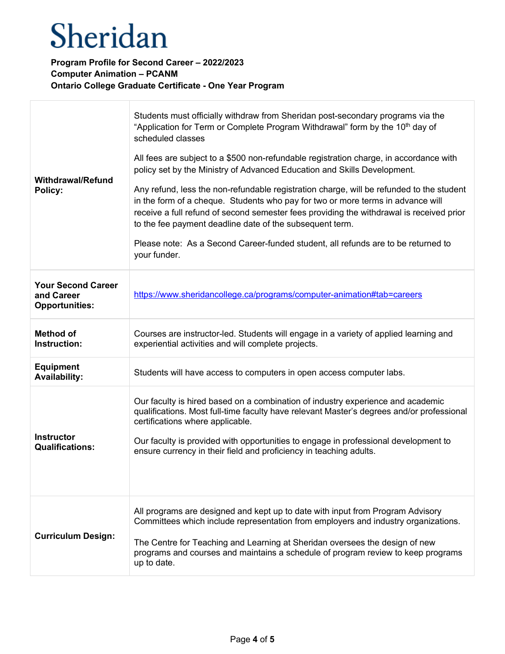| <b>Withdrawal/Refund</b><br>Policy:                              | Students must officially withdraw from Sheridan post-secondary programs via the<br>"Application for Term or Complete Program Withdrawal" form by the 10 <sup>th</sup> day of<br>scheduled classes<br>All fees are subject to a \$500 non-refundable registration charge, in accordance with<br>policy set by the Ministry of Advanced Education and Skills Development.<br>Any refund, less the non-refundable registration charge, will be refunded to the student<br>in the form of a cheque. Students who pay for two or more terms in advance will<br>receive a full refund of second semester fees providing the withdrawal is received prior<br>to the fee payment deadline date of the subsequent term.<br>Please note: As a Second Career-funded student, all refunds are to be returned to<br>your funder. |
|------------------------------------------------------------------|---------------------------------------------------------------------------------------------------------------------------------------------------------------------------------------------------------------------------------------------------------------------------------------------------------------------------------------------------------------------------------------------------------------------------------------------------------------------------------------------------------------------------------------------------------------------------------------------------------------------------------------------------------------------------------------------------------------------------------------------------------------------------------------------------------------------|
| <b>Your Second Career</b><br>and Career<br><b>Opportunities:</b> | https://www.sheridancollege.ca/programs/computer-animation#tab=careers                                                                                                                                                                                                                                                                                                                                                                                                                                                                                                                                                                                                                                                                                                                                              |
| <b>Method of</b><br>Instruction:                                 | Courses are instructor-led. Students will engage in a variety of applied learning and<br>experiential activities and will complete projects.                                                                                                                                                                                                                                                                                                                                                                                                                                                                                                                                                                                                                                                                        |
| <b>Equipment</b><br><b>Availability:</b>                         | Students will have access to computers in open access computer labs.                                                                                                                                                                                                                                                                                                                                                                                                                                                                                                                                                                                                                                                                                                                                                |
| <b>Instructor</b><br><b>Qualifications:</b>                      | Our faculty is hired based on a combination of industry experience and academic<br>qualifications. Most full-time faculty have relevant Master's degrees and/or professional<br>certifications where applicable.<br>Our faculty is provided with opportunities to engage in professional development to<br>ensure currency in their field and proficiency in teaching adults.                                                                                                                                                                                                                                                                                                                                                                                                                                       |
| <b>Curriculum Design:</b>                                        | All programs are designed and kept up to date with input from Program Advisory<br>Committees which include representation from employers and industry organizations.<br>The Centre for Teaching and Learning at Sheridan oversees the design of new<br>programs and courses and maintains a schedule of program review to keep programs<br>up to date.                                                                                                                                                                                                                                                                                                                                                                                                                                                              |